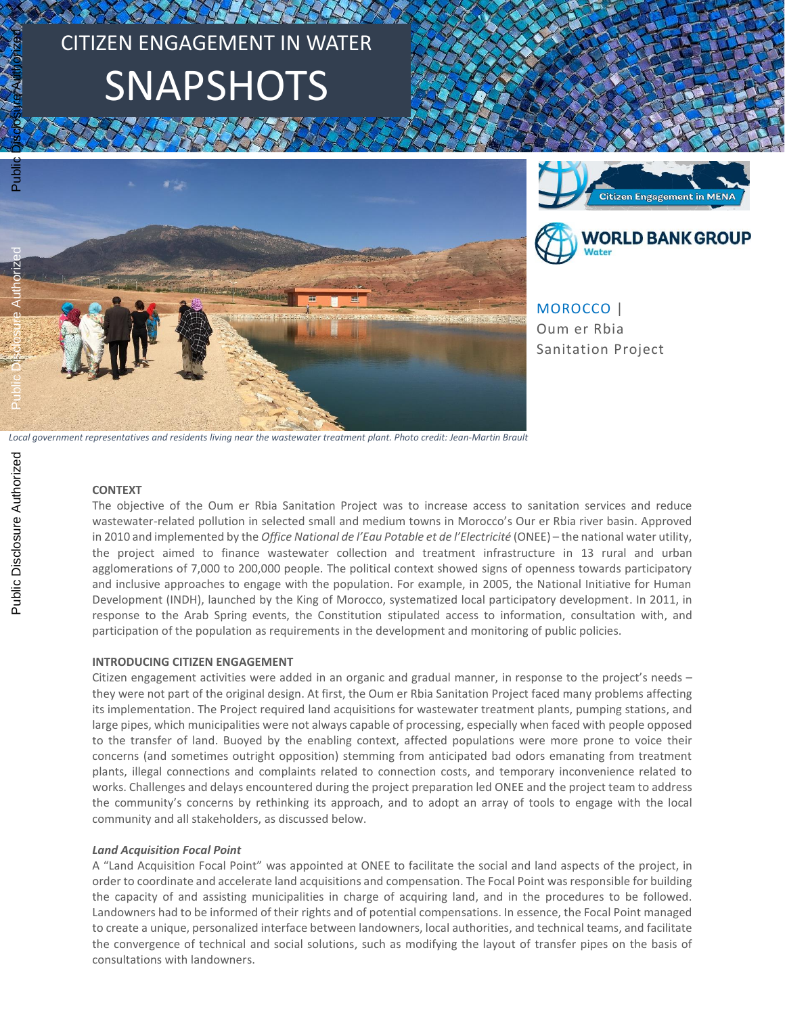# CITIZEN ENGAGEMENT IN WATER SNAPSHOTS



**Citizen Engagement in MENA** 



MOROCCO | Oum er Rbia Sanitation Project

# **CONTEXT**

The objective of the Oum er Rbia Sanitation Project was to increase access to sanitation services and reduce wastewater-related pollution in selected small and medium towns in Morocco's Our er Rbia river basin. Approved in 2010 and implemented by the *Office National de l'Eau Potable et de l'Electricité* (ONEE) – the national water utility, the project aimed to finance wastewater collection and treatment infrastructure in 13 rural and urban agglomerations of 7,000 to 200,000 people. The political context showed signs of openness towards participatory and inclusive approaches to engage with the population. For example, in 2005, the National Initiative for Human Development (INDH), launched by the King of Morocco, systematized local participatory development. In 2011, in response to the Arab Spring events, the Constitution stipulated access to information, consultation with, and participation of the population as requirements in the development and monitoring of public policies.

## **INTRODUCING CITIZEN ENGAGEMENT**

Citizen engagement activities were added in an organic and gradual manner, in response to the project's needs – they were not part of the original design. At first, the Oum er Rbia Sanitation Project faced many problems affecting its implementation. The Project required land acquisitions for wastewater treatment plants, pumping stations, and large pipes, which municipalities were not always capable of processing, especially when faced with people opposed to the transfer of land. Buoyed by the enabling context, affected populations were more prone to voice their concerns (and sometimes outright opposition) stemming from anticipated bad odors emanating from treatment plants, illegal connections and complaints related to connection costs, and temporary inconvenience related to works. Challenges and delays encountered during the project preparation led ONEE and the project team to address the community's concerns by rethinking its approach, and to adopt an array of tools to engage with the local community and all stakeholders, as discussed below.

#### *Land Acquisition Focal Point*

A "Land Acquisition Focal Point" was appointed at ONEE to facilitate the social and land aspects of the project, in order to coordinate and accelerate land acquisitions and compensation. The Focal Point was responsible for building the capacity of and assisting municipalities in charge of acquiring land, and in the procedures to be followed. Landowners had to be informed of their rights and of potential compensations. In essence, the Focal Point managed to create a unique, personalized interface between landowners, local authorities, and technical teams, and facilitate the convergence of technical and social solutions, such as modifying the layout of transfer pipes on the basis of consultations with landowners.